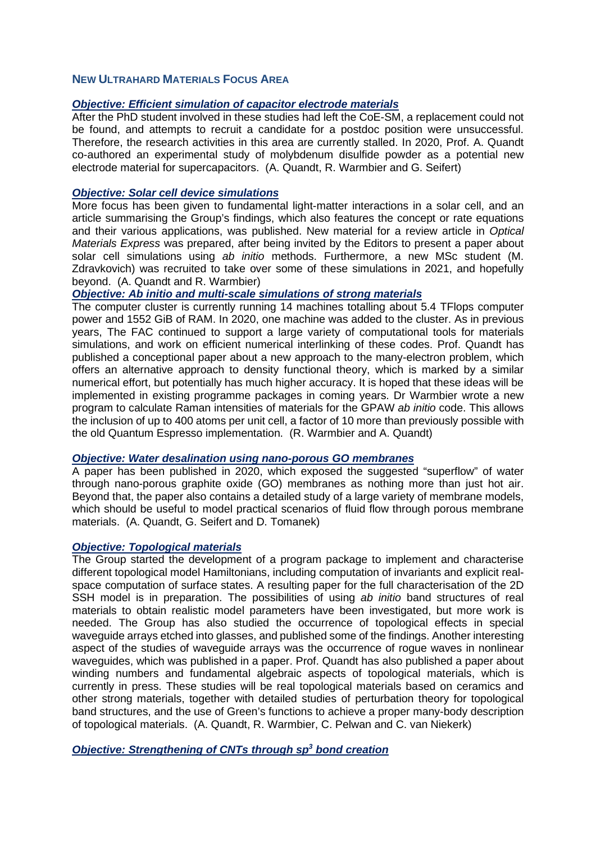# **NEW ULTRAHARD MATERIALS FOCUS AREA**

# *Objective: Efficient simulation of capacitor electrode materials*

After the PhD student involved in these studies had left the CoE-SM, a replacement could not be found, and attempts to recruit a candidate for a postdoc position were unsuccessful. Therefore, the research activities in this area are currently stalled. In 2020, Prof. A. Quandt co-authored an experimental study of molybdenum disulfide powder as a potential new electrode material for supercapacitors. (A. Quandt, R. Warmbier and G. Seifert)

## *Objective: Solar cell device simulations*

More focus has been given to fundamental light-matter interactions in a solar cell, and an article summarising the Group's findings, which also features the concept or rate equations and their various applications, was published. New material for a review article in *Optical Materials Express* was prepared, after being invited by the Editors to present a paper about solar cell simulations using *ab initio* methods. Furthermore, a new MSc student (M. Zdravkovich) was recruited to take over some of these simulations in 2021, and hopefully beyond. (A. Quandt and R. Warmbier)

## *Objective: Ab initio and multi-scale simulations of strong materials*

The computer cluster is currently running 14 machines totalling about 5.4 TFlops computer power and 1552 GiB of RAM. In 2020, one machine was added to the cluster. As in previous years, The FAC continued to support a large variety of computational tools for materials simulations, and work on efficient numerical interlinking of these codes. Prof. Quandt has published a conceptional paper about a new approach to the many-electron problem, which offers an alternative approach to density functional theory, which is marked by a similar numerical effort, but potentially has much higher accuracy. It is hoped that these ideas will be implemented in existing programme packages in coming years. Dr Warmbier wrote a new program to calculate Raman intensities of materials for the GPAW *ab initio* code. This allows the inclusion of up to 400 atoms per unit cell, a factor of 10 more than previously possible with the old Quantum Espresso implementation. (R. Warmbier and A. Quandt)

# *Objective: Water desalination using nano-porous GO membranes*

A paper has been published in 2020, which exposed the suggested "superflow" of water through nano-porous graphite oxide (GO) membranes as nothing more than just hot air. Beyond that, the paper also contains a detailed study of a large variety of membrane models, which should be useful to model practical scenarios of fluid flow through porous membrane materials. (A. Quandt, G. Seifert and D. Tomanek)

#### *Objective: Topological materials*

The Group started the development of a program package to implement and characterise different topological model Hamiltonians, including computation of invariants and explicit realspace computation of surface states. A resulting paper for the full characterisation of the 2D SSH model is in preparation. The possibilities of using *ab initio* band structures of real materials to obtain realistic model parameters have been investigated, but more work is needed. The Group has also studied the occurrence of topological effects in special waveguide arrays etched into glasses, and published some of the findings. Another interesting aspect of the studies of waveguide arrays was the occurrence of rogue waves in nonlinear waveguides, which was published in a paper. Prof. Quandt has also published a paper about winding numbers and fundamental algebraic aspects of topological materials, which is currently in press. These studies will be real topological materials based on ceramics and other strong materials, together with detailed studies of perturbation theory for topological band structures, and the use of Green's functions to achieve a proper many-body description of topological materials. (A. Quandt, R. Warmbier, C. Pelwan and C. van Niekerk)

*Objective: Strengthening of CNTs through sp3 bond creation*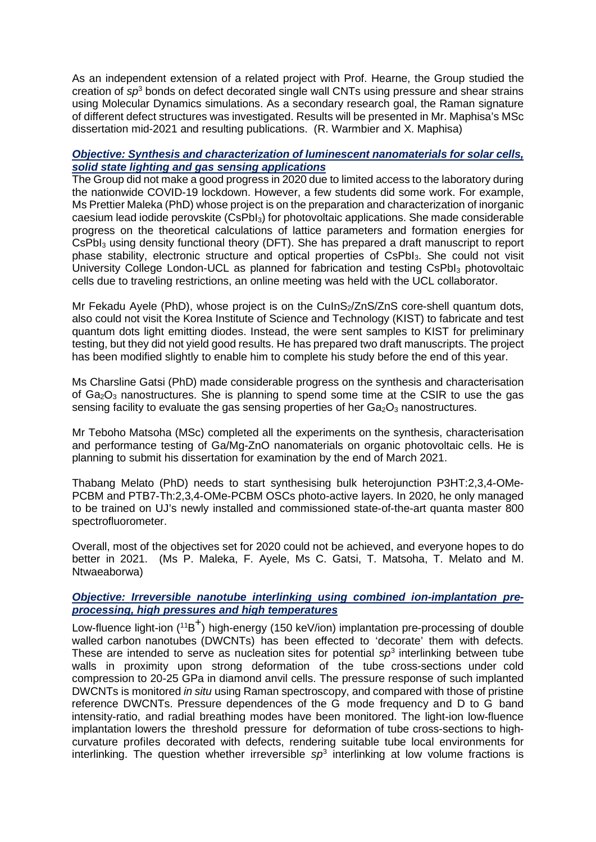As an independent extension of a related project with Prof. Hearne, the Group studied the creation of *sp*<sup>3</sup> bonds on defect decorated single wall CNTs using pressure and shear strains using Molecular Dynamics simulations. As a secondary research goal, the Raman signature of different defect structures was investigated. Results will be presented in Mr. Maphisa's MSc dissertation mid-2021 and resulting publications. (R. Warmbier and X. Maphisa)

# *Objective: Synthesis and characterization of luminescent nanomaterials for solar cells, solid state lighting and gas sensing applications*

The Group did not make a good progress in 2020 due to limited access to the laboratory during the nationwide COVID-19 lockdown. However, a few students did some work. For example, Ms Prettier Maleka (PhD) whose project is on the preparation and characterization of inorganic caesium lead iodide perovskite (CsPbI3) for photovoltaic applications. She made considerable progress on the theoretical calculations of lattice parameters and formation energies for CsPbI<sub>3</sub> using density functional theory (DFT). She has prepared a draft manuscript to report phase stability, electronic structure and optical properties of CsPbI3. She could not visit University College London-UCL as planned for fabrication and testing CsPbI3 photovoltaic cells due to traveling restrictions, an online meeting was held with the UCL collaborator.

Mr Fekadu Ayele (PhD), whose project is on the CulnS $\frac{s}{Z}$ nS/ZnS core-shell quantum dots, also could not visit the Korea Institute of Science and Technology (KIST) to fabricate and test quantum dots light emitting diodes. Instead, the were sent samples to KIST for preliminary testing, but they did not yield good results. He has prepared two draft manuscripts. The project has been modified slightly to enable him to complete his study before the end of this year.

Ms Charsline Gatsi (PhD) made considerable progress on the synthesis and characterisation of  $Ga_2O_3$  nanostructures. She is planning to spend some time at the CSIR to use the gas sensing facility to evaluate the gas sensing properties of her  $Ga<sub>2</sub>O<sub>3</sub>$  nanostructures.

Mr Teboho Matsoha (MSc) completed all the experiments on the synthesis, characterisation and performance testing of Ga/Mg-ZnO nanomaterials on organic photovoltaic cells. He is planning to submit his dissertation for examination by the end of March 2021.

Thabang Melato (PhD) needs to start synthesising bulk heterojunction P3HT:2,3,4-OMe-PCBM and PTB7-Th:2,3,4-OMe-PCBM OSCs photo-active layers. In 2020, he only managed to be trained on UJ's newly installed and commissioned state-of-the-art quanta master 800 spectrofluorometer.

Overall, most of the objectives set for 2020 could not be achieved, and everyone hopes to do better in 2021. (Ms P. Maleka, F. Ayele, Ms C. Gatsi, T. Matsoha, T. Melato and M. Ntwaeaborwa)

#### *Objective: Irreversible nanotube interlinking using combined ion-implantation preprocessing, high pressures and high temperatures*

Low-fluence light-ion (<sup>11</sup>B<sup>+</sup>) high-energy (150 keV/ion) implantation pre-processing of double walled carbon nanotubes (DWCNTs) has been effected to 'decorate' them with defects. These are intended to serve as nucleation sites for potential *sp*<sup>3</sup> interlinking between tube walls in proximity upon strong deformation of the tube cross-sections under cold compression to 20-25 GPa in diamond anvil cells. The pressure response of such implanted DWCNTs is monitored *in situ* using Raman spectroscopy, and compared with those of pristine reference DWCNTs. Pressure dependences of the G mode frequency and D to G band intensity-ratio, and radial breathing modes have been monitored. The light-ion low-fluence implantation lowers the threshold pressure for deformation of tube cross-sections to highcurvature profiles decorated with defects, rendering suitable tube local environments for interlinking. The question whether irreversible *sp*<sup>3</sup> interlinking at low volume fractions is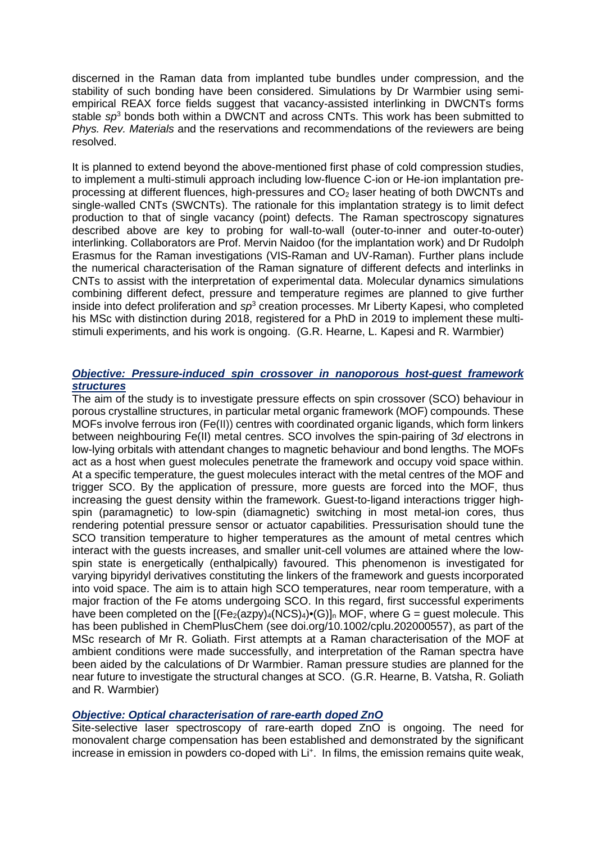discerned in the Raman data from implanted tube bundles under compression, and the stability of such bonding have been considered. Simulations by Dr Warmbier using semiempirical REAX force fields suggest that vacancy-assisted interlinking in DWCNTs forms stable *sp*<sup>3</sup> bonds both within a DWCNT and across CNTs. This work has been submitted to *Phys. Rev. Materials* and the reservations and recommendations of the reviewers are being resolved.

It is planned to extend beyond the above-mentioned first phase of cold compression studies, to implement a multi-stimuli approach including low-fluence C-ion or He-ion implantation preprocessing at different fluences, high-pressures and CO<sub>2</sub> laser heating of both DWCNTs and single-walled CNTs (SWCNTs). The rationale for this implantation strategy is to limit defect production to that of single vacancy (point) defects. The Raman spectroscopy signatures described above are key to probing for wall-to-wall (outer-to-inner and outer-to-outer) interlinking. Collaborators are Prof. Mervin Naidoo (for the implantation work) and Dr Rudolph Erasmus for the Raman investigations (VIS-Raman and UV-Raman). Further plans include the numerical characterisation of the Raman signature of different defects and interlinks in CNTs to assist with the interpretation of experimental data. Molecular dynamics simulations combining different defect, pressure and temperature regimes are planned to give further inside into defect proliferation and *sp*<sup>3</sup> creation processes. Mr Liberty Kapesi, who completed his MSc with distinction during 2018, registered for a PhD in 2019 to implement these multistimuli experiments, and his work is ongoing. (G.R. Hearne, L. Kapesi and R. Warmbier)

## *Objective: Pressure-induced spin crossover in nanoporous host-guest framework structures*

The aim of the study is to investigate pressure effects on spin crossover (SCO) behaviour in porous crystalline structures, in particular metal organic framework (MOF) compounds. These MOFs involve ferrous iron (Fe(II)) centres with coordinated organic ligands, which form linkers between neighbouring Fe(II) metal centres. SCO involves the spin-pairing of 3*d* electrons in low-lying orbitals with attendant changes to magnetic behaviour and bond lengths. The MOFs act as a host when guest molecules penetrate the framework and occupy void space within. At a specific temperature, the guest molecules interact with the metal centres of the MOF and trigger SCO. By the application of pressure, more guests are forced into the MOF, thus increasing the guest density within the framework. Guest-to-ligand interactions trigger highspin (paramagnetic) to low-spin (diamagnetic) switching in most metal-ion cores, thus rendering potential pressure sensor or actuator capabilities. Pressurisation should tune the SCO transition temperature to higher temperatures as the amount of metal centres which interact with the guests increases, and smaller unit-cell volumes are attained where the lowspin state is energetically (enthalpically) favoured. This phenomenon is investigated for varying bipyridyl derivatives constituting the linkers of the framework and guests incorporated into void space. The aim is to attain high SCO temperatures, near room temperature, with a major fraction of the Fe atoms undergoing SCO. In this regard, first successful experiments have been completed on the  $[(Fe<sub>2</sub>(azpy)<sub>4</sub>(NCS)<sub>4</sub>)•(G)]<sub>n</sub> MOF$ , where G = quest molecule. This has been published in ChemPlusChem (see doi.org/10.1002/cplu.202000557), as part of the MSc research of Mr R. Goliath. First attempts at a Raman characterisation of the MOF at ambient conditions were made successfully, and interpretation of the Raman spectra have been aided by the calculations of Dr Warmbier. Raman pressure studies are planned for the near future to investigate the structural changes at SCO. (G.R. Hearne, B. Vatsha, R. Goliath and R. Warmbier)

# *Objective: Optical characterisation of rare-earth doped ZnO*

Site-selective laser spectroscopy of rare-earth doped ZnO is ongoing. The need for monovalent charge compensation has been established and demonstrated by the significant increase in emission in powders co-doped with Li<sup>+</sup>. In films, the emission remains quite weak,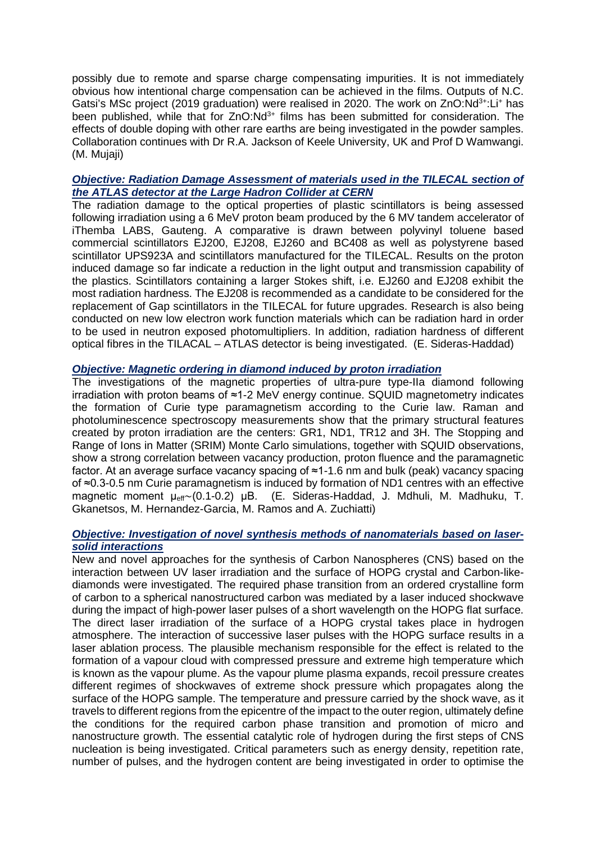possibly due to remote and sparse charge compensating impurities. It is not immediately obvious how intentional charge compensation can be achieved in the films. Outputs of N.C. Gatsi's MSc project (2019 graduation) were realised in 2020. The work on ZnO:Nd<sup>3+</sup>:Li<sup>+</sup> has been published, while that for  $ZnO:Nd^{3+}$  films has been submitted for consideration. The effects of double doping with other rare earths are being investigated in the powder samples. Collaboration continues with Dr R.A. Jackson of Keele University, UK and Prof D Wamwangi. (M. Mujaji)

# *Objective: Radiation Damage Assessment of materials used in the TILECAL section of the ATLAS detector at the Large Hadron Collider at CERN*

The radiation damage to the optical properties of plastic scintillators is being assessed following irradiation using a 6 MeV proton beam produced by the 6 MV tandem accelerator of iThemba LABS, Gauteng. A comparative is drawn between polyvinyl toluene based commercial scintillators EJ200, EJ208, EJ260 and BC408 as well as polystyrene based scintillator UPS923A and scintillators manufactured for the TILECAL. Results on the proton induced damage so far indicate a reduction in the light output and transmission capability of the plastics. Scintillators containing a larger Stokes shift, i.e. EJ260 and EJ208 exhibit the most radiation hardness. The EJ208 is recommended as a candidate to be considered for the replacement of Gap scintillators in the TILECAL for future upgrades. Research is also being conducted on new low electron work function materials which can be radiation hard in order to be used in neutron exposed photomultipliers. In addition, radiation hardness of different optical fibres in the TILACAL – ATLAS detector is being investigated. (E. Sideras-Haddad)

## *Objective: Magnetic ordering in diamond induced by proton irradiation*

The investigations of the magnetic properties of ultra-pure type-IIa diamond following irradiation with proton beams of ≈1-2 MeV energy continue. SQUID magnetometry indicates the formation of Curie type paramagnetism according to the Curie law. Raman and photoluminescence spectroscopy measurements show that the primary structural features created by proton irradiation are the centers: GR1, ND1, TR12 and 3H. The Stopping and Range of Ions in Matter (SRIM) Monte Carlo simulations, together with SQUID observations, show a strong correlation between vacancy production, proton fluence and the paramagnetic factor. At an average surface vacancy spacing of ≈1-1.6 nm and bulk (peak) vacancy spacing of ≈0.3-0.5 nm Curie paramagnetism is induced by formation of ND1 centres with an effective magnetic moment μeff∼(0.1-0.2) μB. (E. Sideras-Haddad, J. Mdhuli, M. Madhuku, T. Gkanetsos, M. Hernandez-Garcia, M. Ramos and A. Zuchiatti)

## *Objective: Investigation of novel synthesis methods of nanomaterials based on lasersolid interactions*

New and novel approaches for the synthesis of Carbon Nanospheres (CNS) based on the interaction between UV laser irradiation and the surface of HOPG crystal and Carbon-likediamonds were investigated. The required phase transition from an ordered crystalline form of carbon to a spherical nanostructured carbon was mediated by a laser induced shockwave during the impact of high-power laser pulses of a short wavelength on the HOPG flat surface. The direct laser irradiation of the surface of a HOPG crystal takes place in hydrogen atmosphere. The interaction of successive laser pulses with the HOPG surface results in a laser ablation process. The plausible mechanism responsible for the effect is related to the formation of a vapour cloud with compressed pressure and extreme high temperature which is known as the vapour plume. As the vapour plume plasma expands, recoil pressure creates different regimes of shockwaves of extreme shock pressure which propagates along the surface of the HOPG sample. The temperature and pressure carried by the shock wave, as it travels to different regions from the epicentre of the impact to the outer region, ultimately define the conditions for the required carbon phase transition and promotion of micro and nanostructure growth. The essential catalytic role of hydrogen during the first steps of CNS nucleation is being investigated. Critical parameters such as energy density, repetition rate, number of pulses, and the hydrogen content are being investigated in order to optimise the